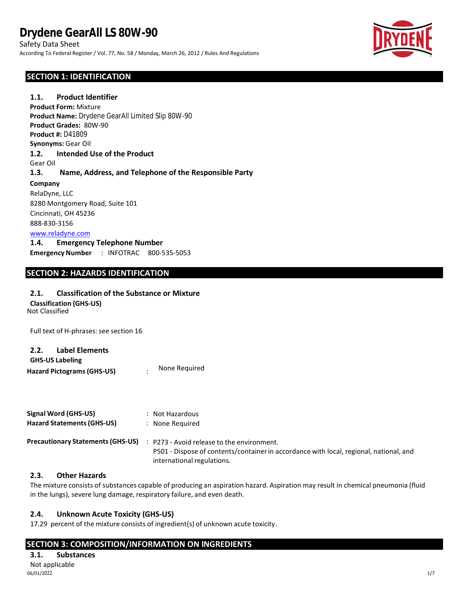Safety Data Sheet According To Federal Register / Vol. 77, No. 58 / Monday, March 26, 2012 / Rules And Regulations

## **SECTION 1: IDENTIFICATION**

Gear Oil **1.3. Name, Address, and Telephone of the Responsible Party Company** RelaDyne, LLC 8280 Montgomery Road, Suite 101 Cincinnati, OH 45236 888-830-3156 [www.reladyne.com](http://www.reladyne.com/) **1.4. Emergency Telephone Number Emergency Number** : INFOTRAC 800-535-5053 **Product Form:** Mixture **Product Name:** Drydene GearAll Limited Slip 80W-90 **Product Grades:** 80W-90 **Product #:** D41809 **Synonyms:** Gear Oil **1.2. Intended Use of the Product 1.1. Product Identifier**

## **SECTION 2: HAZARDS IDENTIFICATION**

## **2.1. Classification of the Substance or Mixture**

**Classification (GHS-US)**

Not Classified

Full text of H-phrases: see section 16

## **2.2. Label Elements**

| <b>GHS-US Labeling</b>            |               |
|-----------------------------------|---------------|
| <b>Hazard Pictograms (GHS-US)</b> | None Required |

| Signal Word (GHS-US)<br><b>Hazard Statements (GHS-US)</b> | : Not Hazardous<br>None Reguired                                                                                                                                   |
|-----------------------------------------------------------|--------------------------------------------------------------------------------------------------------------------------------------------------------------------|
| <b>Precautionary Statements (GHS-US)</b>                  | : P273 - Avoid release to the environment.<br>P501 - Dispose of contents/container in accordance with local, regional, national, and<br>international regulations. |

## **2.3. Other Hazards**

The mixture consists of substances capable of producing an aspiration hazard. Aspiration may result in chemical pneumonia (fluid in the lungs), severe lung damage, respiratory failure, and even death.

## **2.4. Unknown Acute Toxicity (GHS-US)**

17.29 percent of the mixture consists of ingredient(s) of unknown acute toxicity.

## **SECTION 3: COMPOSITION/INFORMATION ON INGREDIENTS**

## **3.1. Substances** Not applicable<br>06/01/2022

06/01/2022 1/7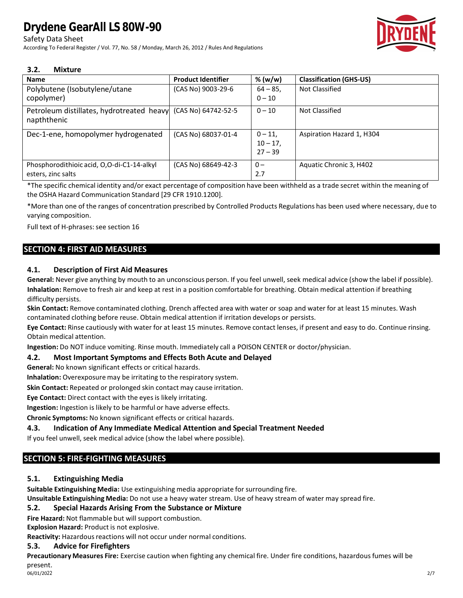## Safety Data Sheet

According To Federal Register / Vol. 77, No. 58 / Monday, March 26, 2012 / Rules And Regulations



#### **3.2. Mixture**

| <b>Name</b>                                                                  | <b>Product Identifier</b> | % (w/w)                              | <b>Classification (GHS-US)</b> |
|------------------------------------------------------------------------------|---------------------------|--------------------------------------|--------------------------------|
| Polybutene (Isobutylene/utane<br>copolymer)                                  | (CAS No) 9003-29-6        | $64 - 85$<br>$0 - 10$                | Not Classified                 |
| Petroleum distillates, hydrotreated heavy (CAS No) 64742-52-5<br>napththenic |                           | $0 - 10$                             | Not Classified                 |
| Dec-1-ene, homopolymer hydrogenated                                          | (CAS No) 68037-01-4       | $0 - 11$<br>$10 - 17$ ,<br>$27 - 39$ | Aspiration Hazard 1, H304      |
| Phosphorodithioic acid, O,O-di-C1-14-alkyl<br>esters, zinc salts             | (CAS No) 68649-42-3       | $0 -$<br>2.7                         | Aquatic Chronic 3, H402        |

\*The specific chemical identity and/or exact percentage of composition have been withheld as a trade secret within the meaning of the OSHA Hazard Communication Standard [29 CFR 1910.1200].

\*More than one of the ranges of concentration prescribed by Controlled Products Regulations has been used where necessary, du e to varying composition.

Full text of H-phrases: see section 16

## **SECTION 4: FIRST AID MEASURES**

#### **4.1. Description of First Aid Measures**

**General:** Never give anything by mouth to an unconscious person. If you feel unwell, seek medical advice (show the label if possible). **Inhalation:** Remove to fresh air and keep at rest in a position comfortable for breathing. Obtain medical attention if breathing difficulty persists.

**Skin Contact:** Remove contaminated clothing. Drench affected area with water or soap and water for at least 15 minutes. Wash contaminated clothing before reuse. Obtain medical attention if irritation develops or persists.

**Eye Contact:** Rinse cautiously with water for at least 15 minutes. Remove contact lenses, if present and easy to do. Continue rinsing. Obtain medical attention.

**Ingestion:** Do NOT induce vomiting. Rinse mouth. Immediately call a POISON CENTER or doctor/physician.

#### **4.2. Most Important Symptoms and Effects Both Acute and Delayed**

**General:** No known significant effects or critical hazards.

**Inhalation:** Overexposure may be irritating to the respiratory system.

**Skin Contact:** Repeated or prolonged skin contact may cause irritation.

**Eye Contact:** Direct contact with the eyes is likely irritating.

**Ingestion:** Ingestion is likely to be harmful or have adverse effects.

**Chronic Symptoms:** No known significant effects or critical hazards.

#### **4.3. Indication of Any Immediate Medical Attention and Special Treatment Needed**

If you feel unwell, seek medical advice (show the label where possible).

## **SECTION 5: FIRE-FIGHTING MEASURES**

#### **5.1. Extinguishing Media**

**Suitable Extinguishing Media:** Use extinguishing media appropriate for surrounding fire.

**Unsuitable Extinguishing Media:** Do not use a heavy water stream. Use of heavy stream of water may spread fire.

#### **5.2. Special Hazards Arising From the Substance or Mixture**

**Fire Hazard:** Not flammable but will support combustion.

**Explosion Hazard:** Product is not explosive.

**Reactivity:** Hazardous reactions will not occur under normal conditions.

#### **5.3. Advice for Firefighters**

**Precautionary Measures Fire:** Exercise caution when fighting any chemical fire. Under fire conditions, hazardous fumes will be present.<br>06/01/2022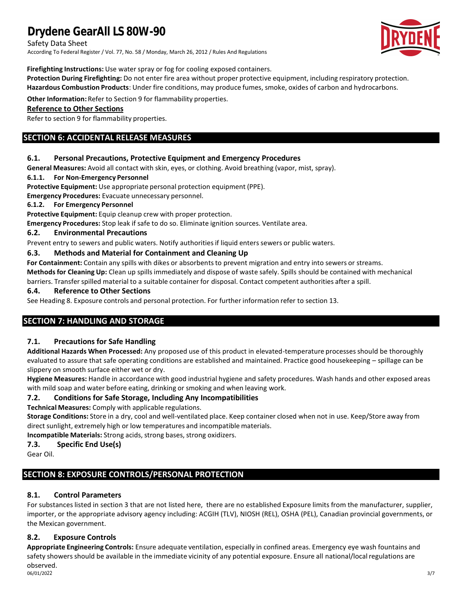Safety Data Sheet

According To Federal Register / Vol. 77, No. 58 / Monday, March 26, 2012 / Rules And Regulations



**Firefighting Instructions:** Use water spray or fog for cooling exposed containers.

**Protection During Firefighting:** Do not enter fire area without proper protective equipment, including respiratory protection. **Hazardous Combustion Products**: Under fire conditions, may produce fumes, smoke, oxides of carbon and hydrocarbons.

**Other Information:** Refer to Section 9 for flammability properties.

## **Reference to Other Sections**

Refer to section 9 for flammability properties.

## **SECTION 6: ACCIDENTAL RELEASE MEASURES**

#### **6.1. Personal Precautions, Protective Equipment and Emergency Procedures**

**General Measures:** Avoid all contact with skin, eyes, or clothing. Avoid breathing (vapor, mist, spray).

#### **6.1.1. For Non-Emergency Personnel**

**Protective Equipment:** Use appropriate personal protection equipment (PPE).

**Emergency Procedures:** Evacuate unnecessary personnel.

#### **6.1.2. For Emergency Personnel**

**Protective Equipment:** Equip cleanup crew with proper protection.

**Emergency Procedures:** Stop leak if safe to do so. Eliminate ignition sources. Ventilate area.

#### **6.2. Environmental Precautions**

Prevent entry to sewers and public waters. Notify authoritiesif liquid enters sewers or public waters.

#### **6.3. Methods and Material for Containment and Cleaning Up**

**For Containment:** Contain any spills with dikes or absorbents to prevent migration and entry into sewers or streams. **Methods for Cleaning Up:** Clean up spills immediately and dispose of waste safely. Spills should be contained with mechanical barriers. Transfer spilled material to a suitable container for disposal. Contact competent authorities after a spill.

#### **6.4. Reference to Other Sections**

See Heading 8. Exposure controls and personal protection. For further information refer to section 13.

## **SECTION 7: HANDLING AND STORAGE**

#### **7.1. Precautions for Safe Handling**

**Additional Hazards When Processed:** Any proposed use of this product in elevated-temperature processes should be thoroughly evaluated to assure that safe operating conditions are established and maintained. Practice good housekeeping – spillage can be slippery on smooth surface either wet or dry.

**Hygiene Measures:** Handle in accordance with good industrial hygiene and safety procedures. Wash hands and other exposed areas with mild soap and water before eating, drinking or smoking and when leaving work.

#### **7.2. Conditions for Safe Storage, Including Any Incompatibilities**

**Technical Measures:** Comply with applicable regulations.

**Storage Conditions:** Store in a dry, cool and well-ventilated place. Keep container closed when not in use. Keep/Store away from direct sunlight, extremely high or low temperatures and incompatible materials.

**Incompatible Materials:** Strong acids, strong bases, strong oxidizers.

## **7.3. Specific End Use(s)**

Gear Oil.

## **SECTION 8: EXPOSURE CONTROLS/PERSONAL PROTECTION**

#### **8.1. Control Parameters**

For substances listed in section 3 that are not listed here, there are no established Exposure limits from the manufacturer, supplier, importer, or the appropriate advisory agency including: ACGIH (TLV), NIOSH (REL), OSHA (PEL), Canadian provincial governments, or the Mexican government.

## **8.2. Exposure Controls**

**Appropriate Engineering Controls:** Ensure adequate ventilation, especially in confined areas. Emergency eye wash fountains and safety showers should be available in the immediate vicinity of any potential exposure. Ensure all national/local regulations are observed.

06/01/2022 3/7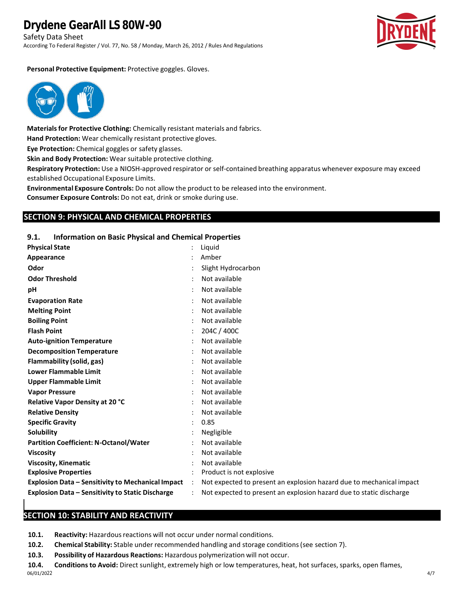Safety Data Sheet

According To Federal Register / Vol. 77, No. 58 / Monday, March 26, 2012 / Rules And Regulations



#### **Personal Protective Equipment:** Protective goggles. Gloves.



**Materials for Protective Clothing:** Chemically resistant materials and fabrics.

**Hand Protection:** Wear chemically resistant protective gloves.

**Eye Protection:** Chemical goggles or safety glasses.

**Skin and Body Protection:** Wear suitable protective clothing.

**Respiratory Protection:** Use a NIOSH-approved respirator or self-contained breathing apparatus whenever exposure may exceed established Occupational Exposure Limits.

**Environmental Exposure Controls:** Do not allow the product to be released into the environment.

**Consumer Exposure Controls:** Do not eat, drink or smoke during use.

#### **SECTION 9: PHYSICAL AND CHEMICAL PROPERTIES**

#### **9.1. Information on Basic Physical and Chemical Properties**

| <b>Physical State</b>                                   |         | Liquid                                                               |
|---------------------------------------------------------|---------|----------------------------------------------------------------------|
| Appearance                                              |         | Amber                                                                |
| Odor                                                    |         | Slight Hydrocarbon                                                   |
| <b>Odor Threshold</b>                                   |         | Not available                                                        |
| pH                                                      |         | Not available                                                        |
| <b>Evaporation Rate</b>                                 |         | Not available                                                        |
| <b>Melting Point</b>                                    |         | Not available                                                        |
| <b>Boiling Point</b>                                    |         | Not available                                                        |
| <b>Flash Point</b>                                      |         | 204C / 400C                                                          |
| <b>Auto-ignition Temperature</b>                        |         | Not available                                                        |
| <b>Decomposition Temperature</b>                        |         | Not available                                                        |
| Flammability (solid, gas)                               |         | Not available                                                        |
| <b>Lower Flammable Limit</b>                            |         | Not available                                                        |
| <b>Upper Flammable Limit</b>                            |         | Not available                                                        |
| <b>Vapor Pressure</b>                                   |         | Not available                                                        |
| Relative Vapor Density at 20 °C                         |         | Not available                                                        |
| <b>Relative Density</b>                                 |         | Not available                                                        |
| <b>Specific Gravity</b>                                 |         | 0.85                                                                 |
| Solubility                                              |         | Negligible                                                           |
| <b>Partition Coefficient: N-Octanol/Water</b>           |         | Not available                                                        |
| <b>Viscosity</b>                                        |         | Not available                                                        |
| <b>Viscosity, Kinematic</b>                             |         | Not available                                                        |
| <b>Explosive Properties</b>                             |         | Product is not explosive                                             |
| Explosion Data - Sensitivity to Mechanical Impact       | $\cdot$ | Not expected to present an explosion hazard due to mechanical impact |
| <b>Explosion Data - Sensitivity to Static Discharge</b> |         | Not expected to present an explosion hazard due to static discharge  |
|                                                         |         |                                                                      |

## **SECTION 10: STABILITY AND REACTIVITY**

**10.1. Reactivity:** Hazardous reactions will not occur under normal conditions.

- **10.2. Chemical Stability:** Stable under recommended handling and storage conditions (see section 7).
- **10.3. Possibility of Hazardous Reactions:** Hazardous polymerization will not occur.

**10.4. Conditions to Avoid:** Direct sunlight, extremely high or low temperatures, heat, hot surfaces, sparks, open flames, 06/01/2022 4/7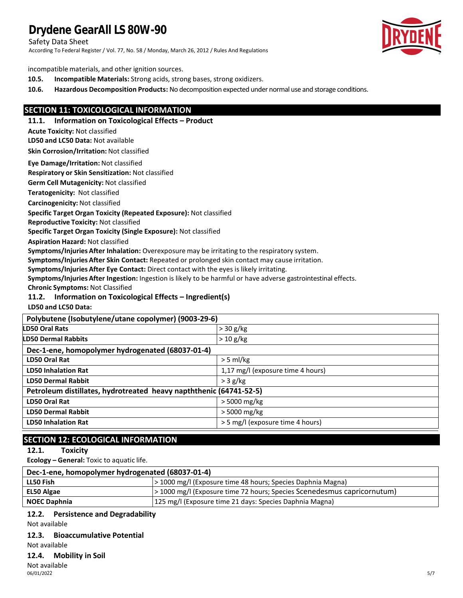Safety Data Sheet

According To Federal Register / Vol. 77, No. 58 / Monday, March 26, 2012 / Rules And Regulations



incompatible materials, and other ignition sources.

- **10.5. Incompatible Materials:** Strong acids, strong bases, strong oxidizers.
- **10.6. Hazardous Decomposition Products:** No decomposition expected under normal use and storage conditions.

## **SECTION 11: TOXICOLOGICAL INFORMATION**

**11.1. Information on Toxicological Effects – Product**

**Acute Toxicity:** Not classified

**LD50 and LC50 Data:** Not available

**Skin Corrosion/Irritation:** Not classified

**Eye Damage/Irritation:** Not classified

**Respiratory or Skin Sensitization:** Not classified

**Germ Cell Mutagenicity:** Not classified

**Teratogenicity:** Not classified

**Carcinogenicity:** Not classified

**Specific Target Organ Toxicity (Repeated Exposure):** Not classified

**Reproductive Toxicity:** Not classified

**Specific Target Organ Toxicity (Single Exposure):** Not classified

**Aspiration Hazard:** Not classified

**Symptoms/Injuries After Inhalation:** Overexposure may be irritating to the respiratory system.

**Symptoms/Injuries After Skin Contact:** Repeated or prolonged skin contact may cause irritation.

**Symptoms/Injuries After Eye Contact:** Direct contact with the eyes is likely irritating.

**Symptoms/Injuries After Ingestion:** Ingestion is likely to be harmful or have adverse gastrointestinal effects.

**Chronic Symptoms:** Not Classified

#### **11.2. Information on Toxicological Effects – Ingredient(s)**

**LD50 and LC50 Data:**

| Polybutene (Isobutylene/utane copolymer) (9003-29-6)               |                                   |  |
|--------------------------------------------------------------------|-----------------------------------|--|
| LD50 Oral Rats                                                     | $>$ 30 g/kg                       |  |
| <b>LD50 Dermal Rabbits</b>                                         | $> 10$ g/kg                       |  |
| Dec-1-ene, homopolymer hydrogenated (68037-01-4)                   |                                   |  |
| LD50 Oral Rat                                                      | $>$ 5 ml/kg                       |  |
| <b>LD50 Inhalation Rat</b>                                         | 1,17 mg/l (exposure time 4 hours) |  |
| <b>LD50 Dermal Rabbit</b>                                          | $>$ 3 g/kg                        |  |
| Petroleum distillates, hydrotreated heavy napththenic (64741-52-5) |                                   |  |
| LD50 Oral Rat                                                      | $>$ 5000 mg/kg                    |  |
| <b>LD50 Dermal Rabbit</b>                                          | $>$ 5000 mg/kg                    |  |
| <b>LD50 Inhalation Rat</b>                                         | > 5 mg/l (exposure time 4 hours)  |  |

## **SECTION 12: ECOLOGICAL INFORMATION**

#### **12.1. Toxicity**

**Ecology – General:** Toxic to aquatic life.

| Dec-1-ene, homopolymer hydrogenated (68037-01-4) |                                                                         |  |
|--------------------------------------------------|-------------------------------------------------------------------------|--|
| LL50 Fish                                        | > 1000 mg/l (Exposure time 48 hours; Species Daphnia Magna)             |  |
| EL50 Algae                                       | > 1000 mg/l (Exposure time 72 hours; Species Scenedesmus capricornutum) |  |
| <b>NOEC Daphnia</b>                              | [125 mg/l (Exposure time 21 days: Species Daphnia Magna)                |  |

#### **12.2. Persistence and Degradability**

Not available

#### **12.3. Bioaccumulative Potential**

Not available

#### **12.4. Mobility in Soil**

Not available 06/01/2022 5/7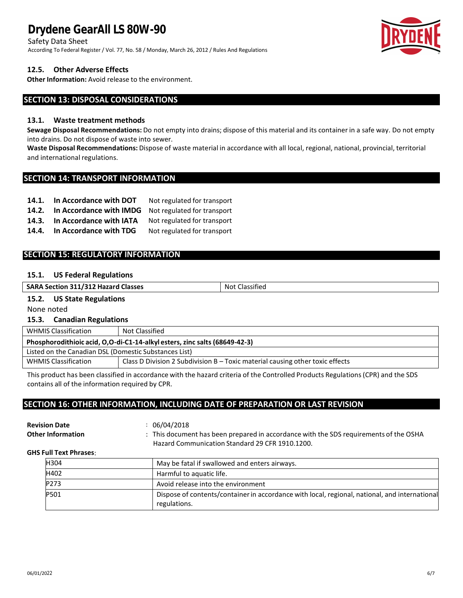Safety Data Sheet

According To Federal Register / Vol. 77, No. 58 / Monday, March 26, 2012 / Rules And Regulations

#### **12.5. Other Adverse Effects**

**Other Information:** Avoid release to the environment.

## **SECTION 13: DISPOSAL CONSIDERATIONS**

#### **13.1. Waste treatment methods**

**Sewage Disposal Recommendations:** Do not empty into drains; dispose of this material and its container in a safe way. Do not empty into drains. Do not dispose of waste into sewer.

**Waste Disposal Recommendations:** Dispose of waste material in accordance with all local, regional, national, provincial, territorial and international regulations.

#### **SECTION 14: TRANSPORT INFORMATION**

| 14.1. | In Accordance with DOT  | Not regulated for transport |
|-------|-------------------------|-----------------------------|
| 14.2. | In Accordance with IMDG | Not regulated for transport |
| 14.3. | In Accordance with IATA | Not regulated for transport |
| 14.4. | In Accordance with TDG  | Not regulated for transport |

## **SECTION 15: REGULATORY INFORMATION**

#### **15.1. US Federal Regulations**

| <b>SARA Section 311/312 Hazard Classes</b> | Classified<br>Not ( |
|--------------------------------------------|---------------------|
|                                            |                     |

## **15.2. US State Regulations**

None noted

#### **15.3. Canadian Regulations**

| <b>WHMIS Classification</b>                                                | Not Classified                                                                  |  |  |
|----------------------------------------------------------------------------|---------------------------------------------------------------------------------|--|--|
| Phosphorodithioic acid, O,O-di-C1-14-alkyl esters, zinc salts (68649-42-3) |                                                                                 |  |  |
| Listed on the Canadian DSL (Domestic Substances List)                      |                                                                                 |  |  |
| <b>WHMIS Classification</b>                                                | Class D Division 2 Subdivision $B - Tox$ c material causing other toxic effects |  |  |

This product has been classified in accordance with the hazard criteria of the Controlled Products Regulations (CPR) and the SDS contains all of the information required by CPR.

## **SECTION 16: OTHER INFORMATION, INCLUDING DATE OF PREPARATION OR LAST REVISION**

```
Revision Date : 06/04/2018
```
**Other Information** : This document has been prepared in accordance with the SDS requirements of the OSHA Hazard Communication Standard 29 CFR 1910.1200.

#### **GHS Full Text Phrases**:

| H304 | May be fatal if swallowed and enters airways.                                                                 |
|------|---------------------------------------------------------------------------------------------------------------|
| H402 | Harmful to aquatic life.                                                                                      |
| P273 | Avoid release into the environment                                                                            |
| P501 | Dispose of contents/container in accordance with local, regional, national, and international<br>regulations. |